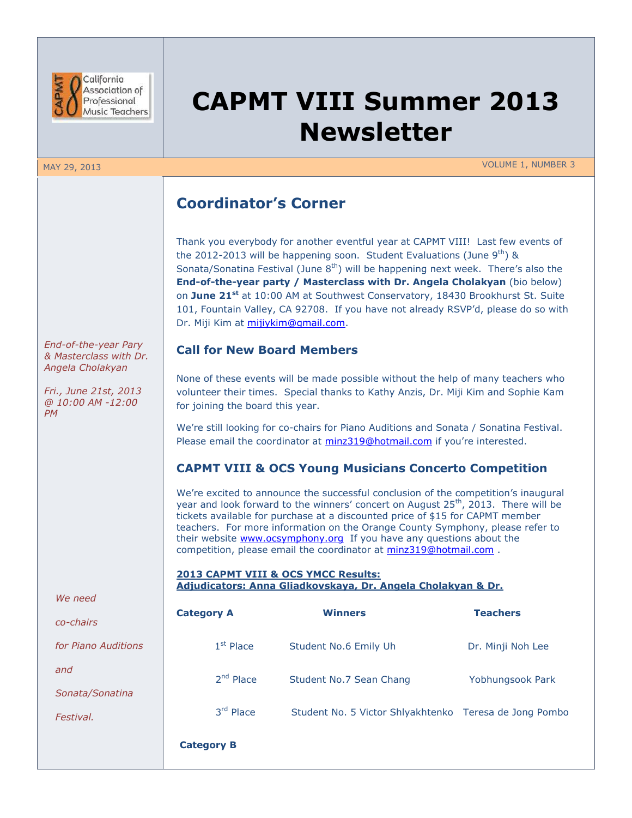

# **CAPMT VIII Summer 2013 Newsletter**

MAY 29, 2013 VOLUME 1, NUMBER 3

# **Coordinator's Corner**

Thank you everybody for another eventful year at CAPMT VIII! Last few events of the 2012-2013 will be happening soon. Student Evaluations (June  $9<sup>th</sup>$ ) & Sonata/Sonatina Festival (June  $8<sup>th</sup>$ ) will be happening next week. There's also the **End-of-the-year party / Masterclass with Dr. Angela Cholakyan** (bio below) on **June 21st** at 10:00 AM at Southwest Conservatory, 18430 Brookhurst St. Suite 101, Fountain Valley, CA 92708. If you have not already RSVP'd, please do so with Dr. Miji Kim at [mijiykim@gmail.com.](mailto:mijiykim@gmail.com)

## **Call for New Board Members**

None of these events will be made possible without the help of many teachers who volunteer their times. Special thanks to Kathy Anzis, Dr. Miji Kim and Sophie Kam for joining the board this year.

We're still looking for co-chairs for Piano Auditions and Sonata / Sonatina Festival. Please email the coordinator at [minz319@hotmail.com](mailto:minz319@hotmail.com) if you're interested.

## **CAPMT VIII & OCS Young Musicians Concerto Competition**

We're excited to announce the successful conclusion of the competition's inaugural year and look forward to the winners' concert on August  $25<sup>th</sup>$ , 2013. There will be tickets available for purchase at a discounted price of \$15 for CAPMT member teachers. For more information on the Orange County Symphony, please refer to their website **www.ocsymphony.org** If you have any questions about the competition, please email the coordinator at [minz319@hotmail.com](mailto:minz319@hotmail.com).

#### **2013 CAPMT VIII & OCS YMCC Results: Adjudicators: Anna Gliadkovskaya, Dr. Angela Cholakyan & Dr.**

| <b>Category A</b> | <b>Winners</b>                                         | <b>Teachers</b>   |
|-------------------|--------------------------------------------------------|-------------------|
| $1st$ Place       | Student No.6 Emily Uh                                  | Dr. Minji Noh Lee |
| $2nd$ Place       | Student No.7 Sean Chang                                | Yobhungsook Park  |
| 3rd Place         | Student No. 5 Victor Shlyakhtenko Teresa de Jong Pombo |                   |
| <b>Category B</b> |                                                        |                   |

*End-of-the-year Pary & Masterclass with Dr. Angela Cholakyan*

*Fri., June 21st, 2013 @ 10:00 AM -12:00 PM*

*We need* 

*co-chairs*

*for Piano Auditions* 

*and*

*Sonata/Sonatina* 

*Festival.*